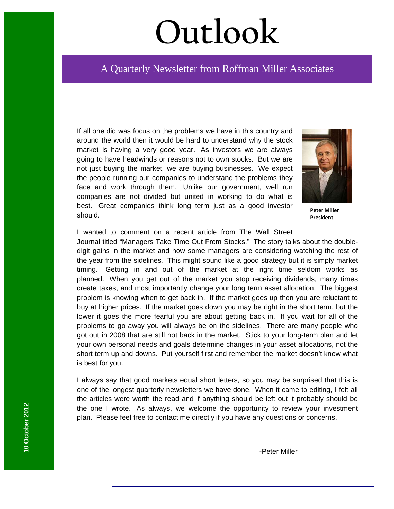# **Outlook**

# A Quarterly Newsletter from Roffman Miller Associates

If all one did was focus on the problems we have in this country and around the world then it would be hard to understand why the stock market is having a very good year. As investors we are always going to have headwinds or reasons not to own stocks. But we are not just buying the market, we are buying businesses. We expect the people running our companies to understand the problems they face and work through them. Unlike our government, well run companies are not divided but united in working to do what is best. Great companies think long term just as a good investor should.



**Peter Miller President**

I wanted to comment on a recent article from The Wall Street Journal titled "Managers Take Time Out From Stocks." The story talks about the doubledigit gains in the market and how some managers are considering watching the rest of the year from the sidelines. This might sound like a good strategy but it is simply market timing. Getting in and out of the market at the right time seldom works as planned. When you get out of the market you stop receiving dividends, many times create taxes, and most importantly change your long term asset allocation. The biggest problem is knowing when to get back in. If the market goes up then you are reluctant to buy at higher prices. If the market goes down you may be right in the short term, but the lower it goes the more fearful you are about getting back in. If you wait for all of the problems to go away you will always be on the sidelines. There are many people who got out in 2008 that are still not back in the market. Stick to your long-term plan and let your own personal needs and goals determine changes in your asset allocations, not the short term up and downs. Put yourself first and remember the market doesn't know what is best for you.

I always say that good markets equal short letters, so you may be surprised that this is one of the longest quarterly newsletters we have done. When it came to editing, I felt all the articles were worth the read and if anything should be left out it probably should be the one I wrote. As always, we welcome the opportunity to review your investment plan. Please feel free to contact me directly if you have any questions or concerns.

-Peter Miller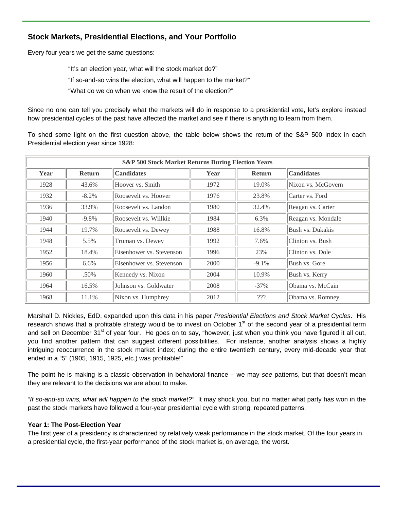# **Stock Markets, Presidential Elections, and Your Portfolio**

Every four years we get the same questions:

"It's an election year, what will the stock market do?" "If so-and-so wins the election, what will happen to the market?" "What do we do when we know the result of the election?"

Since no one can tell you precisely what the markets will do in response to a presidential vote, let's explore instead how presidential cycles of the past have affected the market and see if there is anything to learn from them.

To shed some light on the first question above, the table below shows the return of the S&P 500 Index in each Presidential election year since 1928:

| <b>S&amp;P 500 Stock Market Returns During Election Years</b> |               |                          |      |               |                    |  |  |
|---------------------------------------------------------------|---------------|--------------------------|------|---------------|--------------------|--|--|
| Year                                                          | <b>Return</b> | <b>Candidates</b>        | Year | <b>Return</b> | <b>Candidates</b>  |  |  |
| 1928                                                          | 43.6%         | Hoover vs. Smith         | 1972 | 19.0%         | Nixon vs. McGovern |  |  |
| 1932                                                          | $-8.2\%$      | Roosevelt vs. Hoover     | 1976 | 23.8%         | Carter vs. Ford    |  |  |
| 1936                                                          | 33.9%         | Roosevelt vs. Landon     | 1980 | 32.4%         | Reagan vs. Carter  |  |  |
| 1940                                                          | $-9.8\%$      | Roosevelt vs. Willkie    | 1984 | 6.3%          | Reagan vs. Mondale |  |  |
| 1944                                                          | 19.7%         | Roosevelt vs. Dewey      | 1988 | 16.8%         | Bush vs. Dukakis   |  |  |
| 1948                                                          | 5.5%          | Truman vs. Dewey         | 1992 | 7.6%          | Clinton vs. Bush   |  |  |
| 1952                                                          | 18.4%         | Eisenhower vs. Stevenson | 1996 | 23%           | Clinton vs. Dole   |  |  |
| 1956                                                          | $6.6\%$       | Eisenhower vs. Stevenson | 2000 | $-9.1%$       | Bush vs. Gore      |  |  |
| 1960                                                          | .50%          | Kennedy vs. Nixon        | 2004 | 10.9%         | Bush vs. Kerry     |  |  |
| 1964                                                          | 16.5%         | Johnson vs. Goldwater    | 2008 | $-37%$        | Obama vs. McCain   |  |  |
| 1968                                                          | 11.1%         | Nixon vs. Humphrey       | 2012 | ???           | Obama vs. Romney   |  |  |

Marshall D. Nickles, EdD, expanded upon this data in his paper *Presidential Elections and Stock Market Cycles*. His research shows that a profitable strategy would be to invest on October 1<sup>st</sup> of the second year of a presidential term and sell on December 31<sup>st</sup> of year four. He goes on to say, "however, just when you think you have figured it all out, you find another pattern that can suggest different possibilities. For instance, another analysis shows a highly intriguing reoccurrence in the stock market index; during the entire twentieth century, every mid-decade year that ended in a "5" (1905, 1915, 1925, etc.) was profitable!"

The point he is making is a classic observation in behavioral finance – we may *see* patterns, but that doesn't mean they are relevant to the decisions we are about to make.

"*If so-and-so wins, what will happen to the stock market?"* It may shock you, but no matter what party has won in the past the stock markets have followed a four-year presidential cycle with strong, repeated patterns.

#### **Year 1: The Post-Election Year**

The first year of a presidency is characterized by relatively weak performance in the stock market. Of the four years in a presidential cycle, the first-year performance of the stock market is, on average, the worst.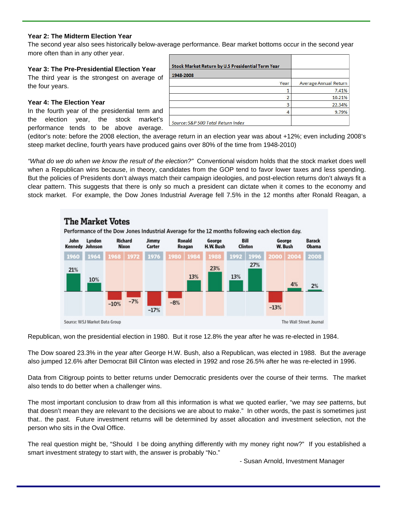#### **Year 2: The Midterm Election Year**

The second year also sees historically below-average performance. Bear market bottoms occur in the second year more often than in any other year.

#### **Year 3: The Pre-Presidential Election Year**

The third year is the strongest on average of the four years.

#### **Year 4: The Election Year**

In the fourth year of the presidential term and the election year, the stock market's performance tends to be above average.

| 1948-2008 |      |                       |
|-----------|------|-----------------------|
|           | Year | Average Annual Return |
|           |      | 7.41%                 |
|           | h    | 10.21%                |
|           | 3    | 22.34%                |
|           |      | 9.79%                 |

(editor's note: before the 2008 election, the average return in an election year was about +12%; even including 2008's steep market decline, fourth years have produced gains over 80% of the time from 1948-2010)

*"What do we do when we know the result of the election?"* Conventional wisdom holds that the stock market does well when a Republican wins because, in theory, candidates from the GOP tend to favor lower taxes and less spending. But the policies of Presidents don't always match their campaign ideologies, and post-election returns don't always fit a clear pattern. This suggests that there is only so much a president can dictate when it comes to the economy and stock market. For example, the Dow Jones Industrial Average fell 7.5% in the 12 months after Ronald Reagan, a



Republican, won the presidential election in 1980. But it rose 12.8% the year after he was re-elected in 1984.

The Dow soared 23.3% in the year after George H.W. Bush, also a Republican, was elected in 1988. But the average also jumped 12.6% after Democrat Bill Clinton was elected in 1992 and rose 26.5% after he was re-elected in 1996.

Data from Citigroup points to better returns under Democratic presidents over the course of their terms. The market also tends to do better when a challenger wins.

The most important conclusion to draw from all this information is what we quoted earlier, "we may *see* patterns, but that doesn't mean they are relevant to the decisions we are about to make." In other words, the past is sometimes just that.. the past. Future investment returns will be determined by asset allocation and investment selection, not the person who sits in the Oval Office.

The real question might be, "Should I be doing anything differently with my money right now?" If you established a smart investment strategy to start with, the answer is probably "No."

- Susan Arnold, Investment Manager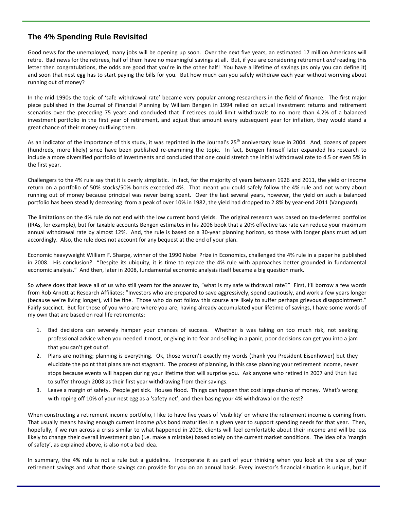# **The 4% Spending Rule Revisited**

Good news for the unemployed, many jobs will be opening up soon. Over the next five years, an estimated 17 million Americans will retire. Bad news for the retirees, half of them have no meaningful savings at all. But, if you are considering retirement *and* reading this letter then congratulations, the odds are good that you're in the other half! You have a lifetime of savings (as only you can define it) and soon that nest egg has to start paying the bills for you. But how much can you safely withdraw each year without worrying about running out of money?

In the mid-1990s the topic of 'safe withdrawal rate' became very popular among researchers in the field of finance. The first major piece published in the Journal of Financial Planning by William Bengen in 1994 relied on actual investment returns and retirement scenarios over the preceding 75 years and concluded that if retirees could limit withdrawals to no more than 4.2% of a balanced investment portfolio in the first year of retirement, and adjust that amount every subsequent year for inflation, they would stand a great chance of their money outliving them.

As an indicator of the importance of this study, it was reprinted in the Journal's  $25<sup>th</sup>$  anniversary issue in 2004. And, dozens of papers (hundreds, more likely) since have been published re‐examining the topic. In fact, Bengen himself later expanded his research to include a more diversified portfolio of investments and concluded that one could stretch the initial withdrawal rate to 4.5 or even 5% in the first year.

Challengers to the 4% rule say that it is overly simplistic. In fact, for the majority of years between 1926 and 2011, the yield or income return on a portfolio of 50% stocks/50% bonds exceeded 4%. That meant you could safely follow the 4% rule and not worry about running out of money because principal was never being spent. Over the last several years, however, the yield on such a balanced portfolio has been steadily decreasing: from a peak of over 10% in 1982, the yield had dropped to 2.8% by year-end 2011 (Vanguard).

The limitations on the 4% rule do not end with the low current bond yields. The original research was based on tax‐deferred portfolios (IRAs, for example), but for taxable accounts Bengen estimates in his 2006 book that a 20% effective tax rate can reduce your maximum annual withdrawal rate by almost 12%. And, the rule is based on a 30‐year planning horizon, so those with longer plans must adjust accordingly. Also, the rule does not account for any bequest at the end of your plan.

Economic heavyweight William F. Sharpe, winner of the 1990 Nobel Prize in Economics, challenged the 4% rule in a paper he published in 2008. His conclusion? "Despite its ubiquity, it is time to replace the 4% rule with approaches better grounded in fundamental economic analysis." And then, later in 2008, fundamental economic analysis itself became a big question mark.

So where does that leave all of us who still yearn for the answer to, "what is my safe withdrawal rate?" First, I'll borrow a few words from Rob Arnott at Research Affiliates: "Investors who are prepared to save aggressively, spend cautiously, and work a few years longer (because we're living longer), will be fine. Those who do not follow this course are likely to suffer perhaps grievous disappointment." Fairly succinct. But for those of you who are where you are, having already accumulated your lifetime of savings, I have some words of my own that are based on real life retirements:

- 1. Bad decisions can severely hamper your chances of success. Whether is was taking on too much risk, not seeking professional advice when you needed it most, or giving in to fear and selling in a panic, poor decisions can get you into a jam that you can't get out of.
- 2. Plans are nothing; planning is everything. Ok, those weren't exactly my words (thank you President Eisenhower) but they elucidate the point that plans are not stagnant. The process of planning, in this case planning your retirement income, never stops because events will happen during your lifetime that will surprise you. Ask anyone who retired in 2007 and then had to suffer through 2008 as their first year withdrawing from their savings.
- 3. Leave a margin of safety. People get sick. Houses flood. Things can happen that cost large chunks of money. What's wrong with roping off 10% of your nest egg as a 'safety net', and then basing your 4% withdrawal on the rest?

When constructing a retirement income portfolio, I like to have five years of 'visibility' on where the retirement income is coming from. That usually means having enough current income *plus* bond maturities in a given year to support spending needs for that year. Then, hopefully, if we run across a crisis similar to what happened in 2008, clients will feel comfortable about their income and will be less likely to change their overall investment plan (i.e. make a mistake) based solely on the current market conditions. The idea of a 'margin of safety', as explained above, is also not a bad idea.

In summary, the 4% rule is not a rule but a guideline. Incorporate it as part of your thinking when you look at the size of your retirement savings and what those savings can provide for you on an annual basis. Every investor's financial situation is unique, but if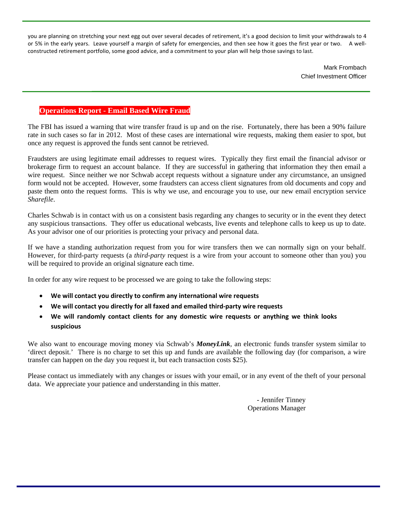you are planning on stretching your next egg out over several decades of retirement, it's a good decision to limit your withdrawals to 4 or 5% in the early years. Leave yourself a margin of safety for emergencies, and then see how it goes the first year or two. A wellconstructed retirement portfolio, some good advice, and a commitment to your plan will help those savings to last.

> Mark Frombach Chief Investment Officer

# **Operations Report - Email Based Wire Fraud**

The FBI has issued a warning that wire transfer fraud is up and on the rise. Fortunately, there has been a 90% failure rate in such cases so far in 2012. Most of these cases are international wire requests, making them easier to spot, but once any request is approved the funds sent cannot be retrieved.

Fraudsters are using legitimate email addresses to request wires. Typically they first email the financial advisor or brokerage firm to request an account balance. If they are successful in gathering that information they then email a wire request. Since neither we nor Schwab accept requests without a signature under any circumstance, an unsigned form would not be accepted. However, some fraudsters can access client signatures from old documents and copy and paste them onto the request forms. This is why we use, and encourage you to use, our new email encryption service *Sharefile*.

Charles Schwab is in contact with us on a consistent basis regarding any changes to security or in the event they detect any suspicious transactions. They offer us educational webcasts, live events and telephone calls to keep us up to date. As your advisor one of our priorities is protecting your privacy and personal data.

If we have a standing authorization request from you for wire transfers then we can normally sign on your behalf. However, for third-party requests (a *third-party* request is a wire from your account to someone other than you) you will be required to provide an original signature each time.

In order for any wire request to be processed we are going to take the following steps:

- **We will contact you directly to confirm any international wire requests**
- **We will contact you directly for all faxed and emailed third‐party wire requests**
- **We will randomly contact clients for any domestic wire requests or anything we think looks suspicious**

We also want to encourage moving money via Schwab's **MoneyLink**, an electronic funds transfer system similar to 'direct deposit.' There is no charge to set this up and funds are available the following day (for comparison, a wire transfer can happen on the day you request it, but each transaction costs \$25).

Please contact us immediately with any changes or issues with your email, or in any event of the theft of your personal data. We appreciate your patience and understanding in this matter.

> - Jennifer Tinney Operations Manager